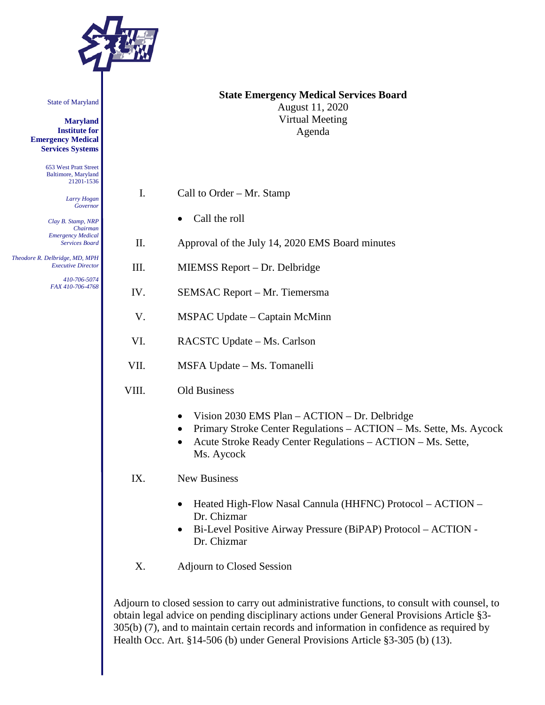

State of Maryland

**Maryland Institute for Emergency Medical Services Systems**

> 653 West Pratt Street Baltimore, Maryland 21201-1536

> > *Larry Hogan Governor*

*Clay B. Stamp, NRP Chairman Emergency Medical Services Board*

 *Theodore R. Delbridge, MD, MPH Executive Director 410-706-5074*

*FAX 410-706-4768*

### **State Emergency Medical Services Board** August 11, 2020 Virtual Meeting Agenda

- I. Call to Order Mr. Stamp
	- Call the roll
- II. Approval of the July 14, 2020 EMS Board minutes
- III. MIEMSS Report Dr. Delbridge
- IV. SEMSAC Report Mr. Tiemersma
- V. MSPAC Update Captain McMinn
- VI. RACSTC Update Ms. Carlson
- VII. MSFA Update Ms. Tomanelli
- VIII. Old Business
	- Vision 2030 EMS Plan ACTION Dr. Delbridge
	- Primary Stroke Center Regulations ACTION Ms. Sette, Ms. Aycock
	- Acute Stroke Ready Center Regulations ACTION Ms. Sette, Ms. Aycock
	- IX. New Business
		- Heated High-Flow Nasal Cannula (HHFNC) Protocol ACTION Dr. Chizmar
		- Bi-Level Positive Airway Pressure (BiPAP) Protocol ACTION Dr. Chizmar
	- X. Adjourn to Closed Session

Adjourn to closed session to carry out administrative functions, to consult with counsel, to obtain legal advice on pending disciplinary actions under General Provisions Article §3- 305(b) (7), and to maintain certain records and information in confidence as required by Health Occ. Art. §14-506 (b) under General Provisions Article §3-305 (b) (13).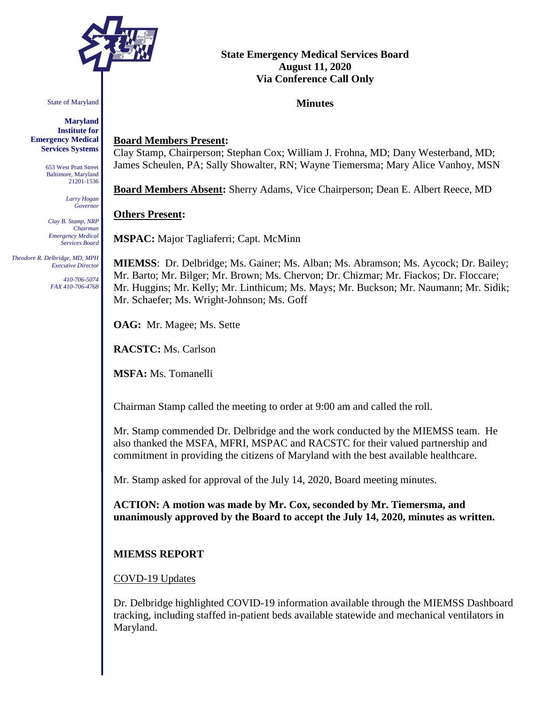

State of Maryland

**Maryland Institute for Emergency Medical Services Systems**

> 653 West Pratt Street Baltimore, Maryland 21201-1536

> > *Larry Hogan Governor*

*Clay B. Stamp, NRP Chairman Emergency Medical Services Board*

 *Theodore R. Delbridge, MD, MPH Executive Director*

> *410-706-5074 FAX 410-706-4768*

# **State Emergency Medical Services Board August 11, 2020 Via Conference Call Only**

### **Minutes**

## **Board Members Present:**

Clay Stamp, Chairperson; Stephan Cox; William J. Frohna, MD; Dany Westerband, MD; James Scheulen, PA; Sally Showalter, RN; Wayne Tiemersma; Mary Alice Vanhoy, MSN

**Board Members Absent:** Sherry Adams, Vice Chairperson; Dean E. Albert Reece, MD

#### **Others Present:**

**MSPAC:** Major Tagliaferri; Capt. McMinn

**MIEMSS**: Dr. Delbridge; Ms. Gainer; Ms. Alban; Ms. Abramson; Ms. Aycock; Dr. Bailey; Mr. Barto; Mr. Bilger; Mr. Brown; Ms. Chervon; Dr. Chizmar; Mr. Fiackos; Dr. Floccare; Mr. Huggins; Mr. Kelly; Mr. Linthicum; Ms. Mays; Mr. Buckson; Mr. Naumann; Mr. Sidik; Mr. Schaefer; Ms. Wright-Johnson; Ms. Goff

**OAG:** Mr. Magee; Ms. Sette

**RACSTC:** Ms. Carlson

**MSFA:** Ms. Tomanelli

Chairman Stamp called the meeting to order at 9:00 am and called the roll.

Mr. Stamp commended Dr. Delbridge and the work conducted by the MIEMSS team. He also thanked the MSFA, MFRI, MSPAC and RACSTC for their valued partnership and commitment in providing the citizens of Maryland with the best available healthcare.

Mr. Stamp asked for approval of the July 14, 2020, Board meeting minutes.

**ACTION: A motion was made by Mr. Cox, seconded by Mr. Tiemersma, and unanimously approved by the Board to accept the July 14, 2020, minutes as written.**

# **MIEMSS REPORT**

#### COVD-19 Updates

Dr. Delbridge highlighted COVID-19 information available through the MIEMSS Dashboard tracking, including staffed in-patient beds available statewide and mechanical ventilators in Maryland.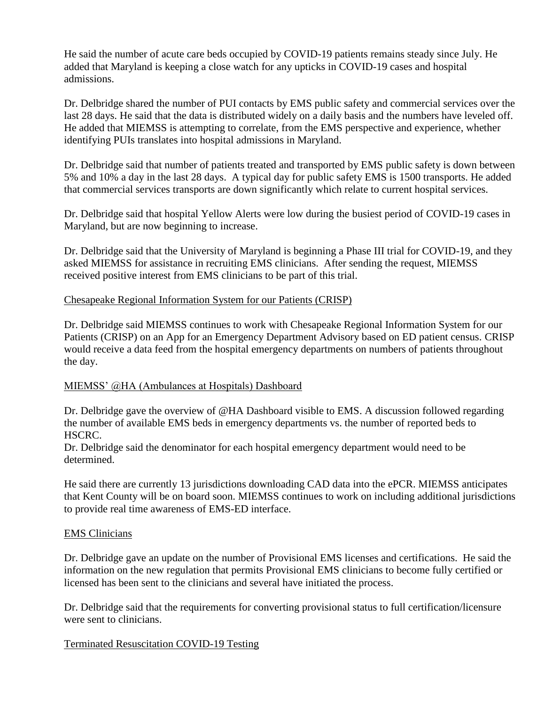He said the number of acute care beds occupied by COVID-19 patients remains steady since July. He added that Maryland is keeping a close watch for any upticks in COVID-19 cases and hospital admissions.

Dr. Delbridge shared the number of PUI contacts by EMS public safety and commercial services over the last 28 days. He said that the data is distributed widely on a daily basis and the numbers have leveled off. He added that MIEMSS is attempting to correlate, from the EMS perspective and experience, whether identifying PUIs translates into hospital admissions in Maryland.

Dr. Delbridge said that number of patients treated and transported by EMS public safety is down between 5% and 10% a day in the last 28 days. A typical day for public safety EMS is 1500 transports. He added that commercial services transports are down significantly which relate to current hospital services.

Dr. Delbridge said that hospital Yellow Alerts were low during the busiest period of COVID-19 cases in Maryland, but are now beginning to increase.

Dr. Delbridge said that the University of Maryland is beginning a Phase III trial for COVID-19, and they asked MIEMSS for assistance in recruiting EMS clinicians. After sending the request, MIEMSS received positive interest from EMS clinicians to be part of this trial.

## Chesapeake Regional Information System for our Patients (CRISP)

Dr. Delbridge said MIEMSS continues to work with Chesapeake Regional Information System for our Patients (CRISP) on an App for an Emergency Department Advisory based on ED patient census. CRISP would receive a data feed from the hospital emergency departments on numbers of patients throughout the day.

#### MIEMSS' @HA (Ambulances at Hospitals) Dashboard

Dr. Delbridge gave the overview of @HA Dashboard visible to EMS. A discussion followed regarding the number of available EMS beds in emergency departments vs. the number of reported beds to HSCRC.

Dr. Delbridge said the denominator for each hospital emergency department would need to be determined.

He said there are currently 13 jurisdictions downloading CAD data into the ePCR. MIEMSS anticipates that Kent County will be on board soon. MIEMSS continues to work on including additional jurisdictions to provide real time awareness of EMS-ED interface.

#### EMS Clinicians

Dr. Delbridge gave an update on the number of Provisional EMS licenses and certifications. He said the information on the new regulation that permits Provisional EMS clinicians to become fully certified or licensed has been sent to the clinicians and several have initiated the process.

Dr. Delbridge said that the requirements for converting provisional status to full certification/licensure were sent to clinicians.

# Terminated Resuscitation COVID-19 Testing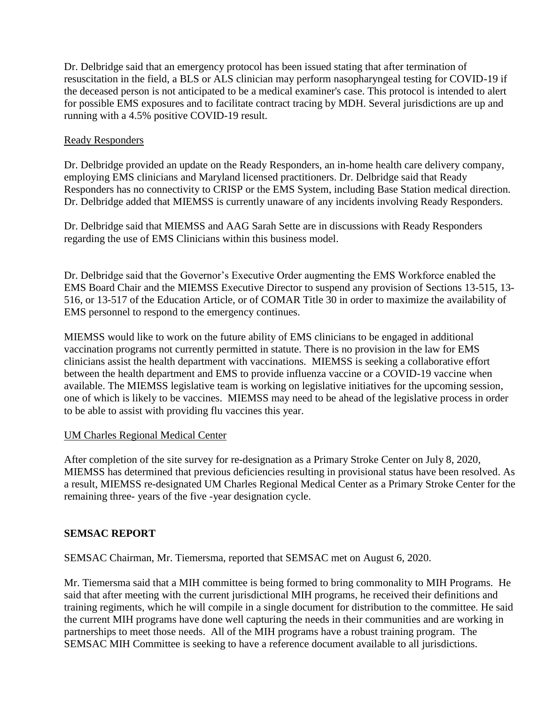Dr. Delbridge said that an emergency protocol has been issued stating that after termination of resuscitation in the field, a BLS or ALS clinician may perform nasopharyngeal testing for COVID-19 if the deceased person is not anticipated to be a medical examiner's case. This protocol is intended to alert for possible EMS exposures and to facilitate contract tracing by MDH. Several jurisdictions are up and running with a 4.5% positive COVID-19 result.

## Ready Responders

Dr. Delbridge provided an update on the Ready Responders, an in-home health care delivery company, employing EMS clinicians and Maryland licensed practitioners. Dr. Delbridge said that Ready Responders has no connectivity to CRISP or the EMS System, including Base Station medical direction. Dr. Delbridge added that MIEMSS is currently unaware of any incidents involving Ready Responders.

Dr. Delbridge said that MIEMSS and AAG Sarah Sette are in discussions with Ready Responders regarding the use of EMS Clinicians within this business model.

Dr. Delbridge said that the Governor's Executive Order augmenting the EMS Workforce enabled the EMS Board Chair and the MIEMSS Executive Director to suspend any provision of Sections 13-515, 13- 516, or 13-517 of the Education Article, or of COMAR Title 30 in order to maximize the availability of EMS personnel to respond to the emergency continues.

MIEMSS would like to work on the future ability of EMS clinicians to be engaged in additional vaccination programs not currently permitted in statute. There is no provision in the law for EMS clinicians assist the health department with vaccinations. MIEMSS is seeking a collaborative effort between the health department and EMS to provide influenza vaccine or a COVID-19 vaccine when available. The MIEMSS legislative team is working on legislative initiatives for the upcoming session, one of which is likely to be vaccines. MIEMSS may need to be ahead of the legislative process in order to be able to assist with providing flu vaccines this year.

#### UM Charles Regional Medical Center

After completion of the site survey for re-designation as a Primary Stroke Center on July 8, 2020, MIEMSS has determined that previous deficiencies resulting in provisional status have been resolved. As a result, MIEMSS re-designated UM Charles Regional Medical Center as a Primary Stroke Center for the remaining three- years of the five -year designation cycle.

# **SEMSAC REPORT**

SEMSAC Chairman, Mr. Tiemersma, reported that SEMSAC met on August 6, 2020.

Mr. Tiemersma said that a MIH committee is being formed to bring commonality to MIH Programs. He said that after meeting with the current jurisdictional MIH programs, he received their definitions and training regiments, which he will compile in a single document for distribution to the committee. He said the current MIH programs have done well capturing the needs in their communities and are working in partnerships to meet those needs. All of the MIH programs have a robust training program. The SEMSAC MIH Committee is seeking to have a reference document available to all jurisdictions.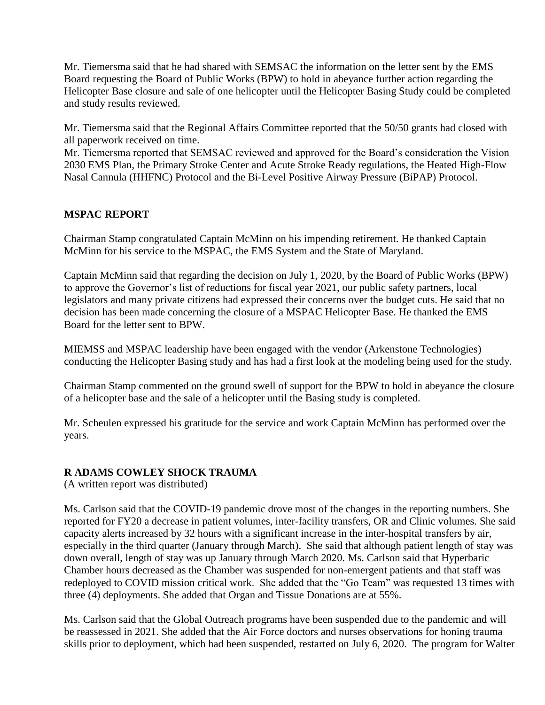Mr. Tiemersma said that he had shared with SEMSAC the information on the letter sent by the EMS Board requesting the Board of Public Works (BPW) to hold in abeyance further action regarding the Helicopter Base closure and sale of one helicopter until the Helicopter Basing Study could be completed and study results reviewed.

Mr. Tiemersma said that the Regional Affairs Committee reported that the 50/50 grants had closed with all paperwork received on time.

Mr. Tiemersma reported that SEMSAC reviewed and approved for the Board's consideration the Vision 2030 EMS Plan, the Primary Stroke Center and Acute Stroke Ready regulations, the Heated High-Flow Nasal Cannula (HHFNC) Protocol and the Bi-Level Positive Airway Pressure (BiPAP) Protocol.

# **MSPAC REPORT**

Chairman Stamp congratulated Captain McMinn on his impending retirement. He thanked Captain McMinn for his service to the MSPAC, the EMS System and the State of Maryland.

Captain McMinn said that regarding the decision on July 1, 2020, by the Board of Public Works (BPW) to approve the Governor's list of reductions for fiscal year 2021, our public safety partners, local legislators and many private citizens had expressed their concerns over the budget cuts. He said that no decision has been made concerning the closure of a MSPAC Helicopter Base. He thanked the EMS Board for the letter sent to BPW.

MIEMSS and MSPAC leadership have been engaged with the vendor (Arkenstone Technologies) conducting the Helicopter Basing study and has had a first look at the modeling being used for the study.

Chairman Stamp commented on the ground swell of support for the BPW to hold in abeyance the closure of a helicopter base and the sale of a helicopter until the Basing study is completed.

Mr. Scheulen expressed his gratitude for the service and work Captain McMinn has performed over the years.

# **R ADAMS COWLEY SHOCK TRAUMA**

(A written report was distributed)

Ms. Carlson said that the COVID-19 pandemic drove most of the changes in the reporting numbers. She reported for FY20 a decrease in patient volumes, inter-facility transfers, OR and Clinic volumes. She said capacity alerts increased by 32 hours with a significant increase in the inter-hospital transfers by air, especially in the third quarter (January through March). She said that although patient length of stay was down overall, length of stay was up January through March 2020. Ms. Carlson said that Hyperbaric Chamber hours decreased as the Chamber was suspended for non-emergent patients and that staff was redeployed to COVID mission critical work. She added that the "Go Team" was requested 13 times with three (4) deployments. She added that Organ and Tissue Donations are at 55%.

Ms. Carlson said that the Global Outreach programs have been suspended due to the pandemic and will be reassessed in 2021. She added that the Air Force doctors and nurses observations for honing trauma skills prior to deployment, which had been suspended, restarted on July 6, 2020. The program for Walter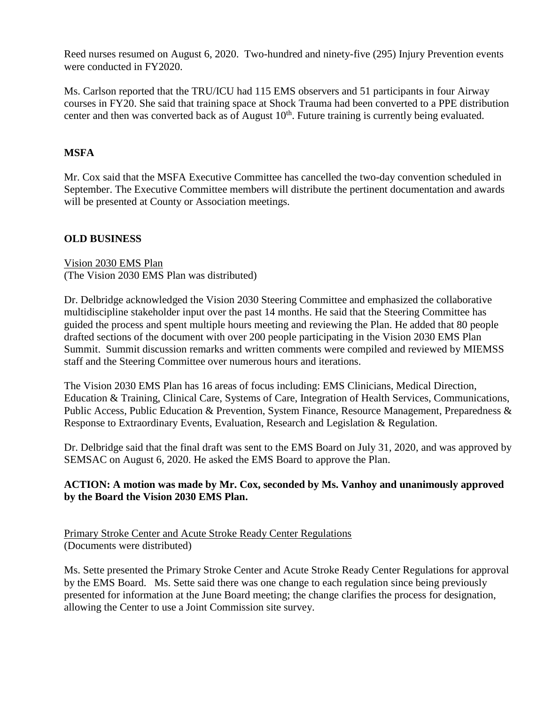Reed nurses resumed on August 6, 2020. Two-hundred and ninety-five (295) Injury Prevention events were conducted in FY2020.

Ms. Carlson reported that the TRU/ICU had 115 EMS observers and 51 participants in four Airway courses in FY20. She said that training space at Shock Trauma had been converted to a PPE distribution center and then was converted back as of August  $10<sup>th</sup>$ . Future training is currently being evaluated.

# **MSFA**

Mr. Cox said that the MSFA Executive Committee has cancelled the two-day convention scheduled in September. The Executive Committee members will distribute the pertinent documentation and awards will be presented at County or Association meetings.

# **OLD BUSINESS**

Vision 2030 EMS Plan (The Vision 2030 EMS Plan was distributed)

Dr. Delbridge acknowledged the Vision 2030 Steering Committee and emphasized the collaborative multidiscipline stakeholder input over the past 14 months. He said that the Steering Committee has guided the process and spent multiple hours meeting and reviewing the Plan. He added that 80 people drafted sections of the document with over 200 people participating in the Vision 2030 EMS Plan Summit. Summit discussion remarks and written comments were compiled and reviewed by MIEMSS staff and the Steering Committee over numerous hours and iterations.

The Vision 2030 EMS Plan has 16 areas of focus including: EMS Clinicians, Medical Direction, Education & Training, Clinical Care, Systems of Care, Integration of Health Services, Communications, Public Access, Public Education & Prevention, System Finance, Resource Management, Preparedness & Response to Extraordinary Events, Evaluation, Research and Legislation & Regulation.

Dr. Delbridge said that the final draft was sent to the EMS Board on July 31, 2020, and was approved by SEMSAC on August 6, 2020. He asked the EMS Board to approve the Plan.

# **ACTION: A motion was made by Mr. Cox, seconded by Ms. Vanhoy and unanimously approved by the Board the Vision 2030 EMS Plan.**

Primary Stroke Center and Acute Stroke Ready Center Regulations (Documents were distributed)

Ms. Sette presented the Primary Stroke Center and Acute Stroke Ready Center Regulations for approval by the EMS Board. Ms. Sette said there was one change to each regulation since being previously presented for information at the June Board meeting; the change clarifies the process for designation, allowing the Center to use a Joint Commission site survey.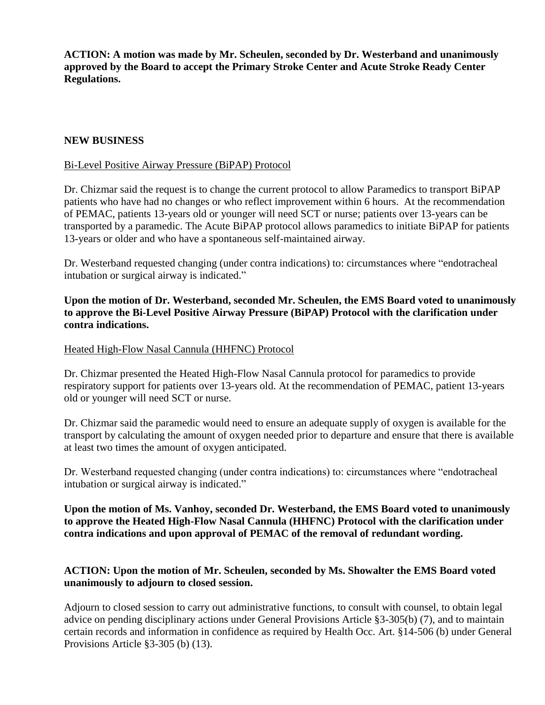**ACTION: A motion was made by Mr. Scheulen, seconded by Dr. Westerband and unanimously approved by the Board to accept the Primary Stroke Center and Acute Stroke Ready Center Regulations.**

### **NEW BUSINESS**

### Bi-Level Positive Airway Pressure (BiPAP) Protocol

Dr. Chizmar said the request is to change the current protocol to allow Paramedics to transport BiPAP patients who have had no changes or who reflect improvement within 6 hours. At the recommendation of PEMAC, patients 13-years old or younger will need SCT or nurse; patients over 13-years can be transported by a paramedic. The Acute BiPAP protocol allows paramedics to initiate BiPAP for patients 13-years or older and who have a spontaneous self-maintained airway.

Dr. Westerband requested changing (under contra indications) to: circumstances where "endotracheal intubation or surgical airway is indicated."

## **Upon the motion of Dr. Westerband, seconded Mr. Scheulen, the EMS Board voted to unanimously to approve the Bi-Level Positive Airway Pressure (BiPAP) Protocol with the clarification under contra indications.**

#### Heated High-Flow Nasal Cannula (HHFNC) Protocol

Dr. Chizmar presented the Heated High-Flow Nasal Cannula protocol for paramedics to provide respiratory support for patients over 13-years old. At the recommendation of PEMAC, patient 13-years old or younger will need SCT or nurse.

Dr. Chizmar said the paramedic would need to ensure an adequate supply of oxygen is available for the transport by calculating the amount of oxygen needed prior to departure and ensure that there is available at least two times the amount of oxygen anticipated.

Dr. Westerband requested changing (under contra indications) to: circumstances where "endotracheal intubation or surgical airway is indicated."

**Upon the motion of Ms. Vanhoy, seconded Dr. Westerband, the EMS Board voted to unanimously to approve the Heated High-Flow Nasal Cannula (HHFNC) Protocol with the clarification under contra indications and upon approval of PEMAC of the removal of redundant wording.**

## **ACTION: Upon the motion of Mr. Scheulen, seconded by Ms. Showalter the EMS Board voted unanimously to adjourn to closed session.**

Adjourn to closed session to carry out administrative functions, to consult with counsel, to obtain legal advice on pending disciplinary actions under General Provisions Article §3-305(b) (7), and to maintain certain records and information in confidence as required by Health Occ. Art. §14-506 (b) under General Provisions Article §3-305 (b) (13).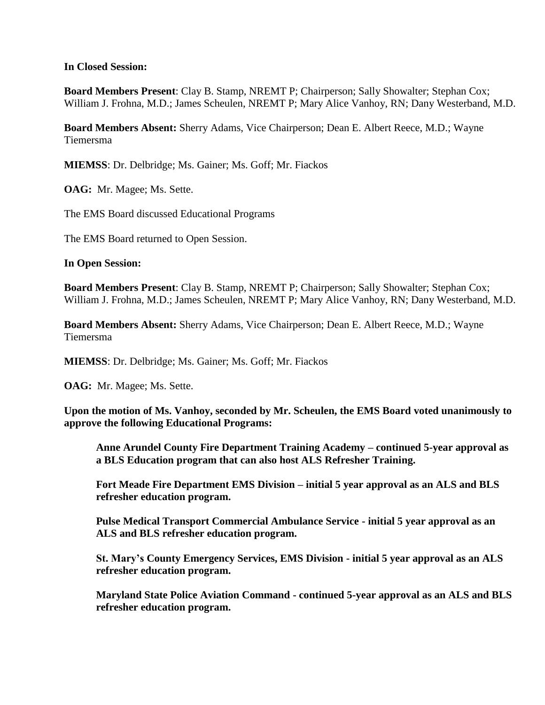### **In Closed Session:**

**Board Members Present**: Clay B. Stamp, NREMT P; Chairperson; Sally Showalter; Stephan Cox; William J. Frohna, M.D.; James Scheulen, NREMT P; Mary Alice Vanhoy, RN; Dany Westerband, M.D.

**Board Members Absent:** Sherry Adams, Vice Chairperson; Dean E. Albert Reece, M.D.; Wayne Tiemersma

**MIEMSS**: Dr. Delbridge; Ms. Gainer; Ms. Goff; Mr. Fiackos

**OAG:** Mr. Magee; Ms. Sette.

The EMS Board discussed Educational Programs

The EMS Board returned to Open Session.

**In Open Session:**

**Board Members Present**: Clay B. Stamp, NREMT P; Chairperson; Sally Showalter; Stephan Cox; William J. Frohna, M.D.; James Scheulen, NREMT P; Mary Alice Vanhoy, RN; Dany Westerband, M.D.

**Board Members Absent:** Sherry Adams, Vice Chairperson; Dean E. Albert Reece, M.D.; Wayne Tiemersma

**MIEMSS**: Dr. Delbridge; Ms. Gainer; Ms. Goff; Mr. Fiackos

**OAG:** Mr. Magee; Ms. Sette.

**Upon the motion of Ms. Vanhoy, seconded by Mr. Scheulen, the EMS Board voted unanimously to approve the following Educational Programs:**

**Anne Arundel County Fire Department Training Academy – continued 5-year approval as a BLS Education program that can also host ALS Refresher Training.**

**Fort Meade Fire Department EMS Division – initial 5 year approval as an ALS and BLS refresher education program.**

**Pulse Medical Transport Commercial Ambulance Service - initial 5 year approval as an ALS and BLS refresher education program.**

**St. Mary's County Emergency Services, EMS Division - initial 5 year approval as an ALS refresher education program.**

**Maryland State Police Aviation Command - continued 5-year approval as an ALS and BLS refresher education program.**